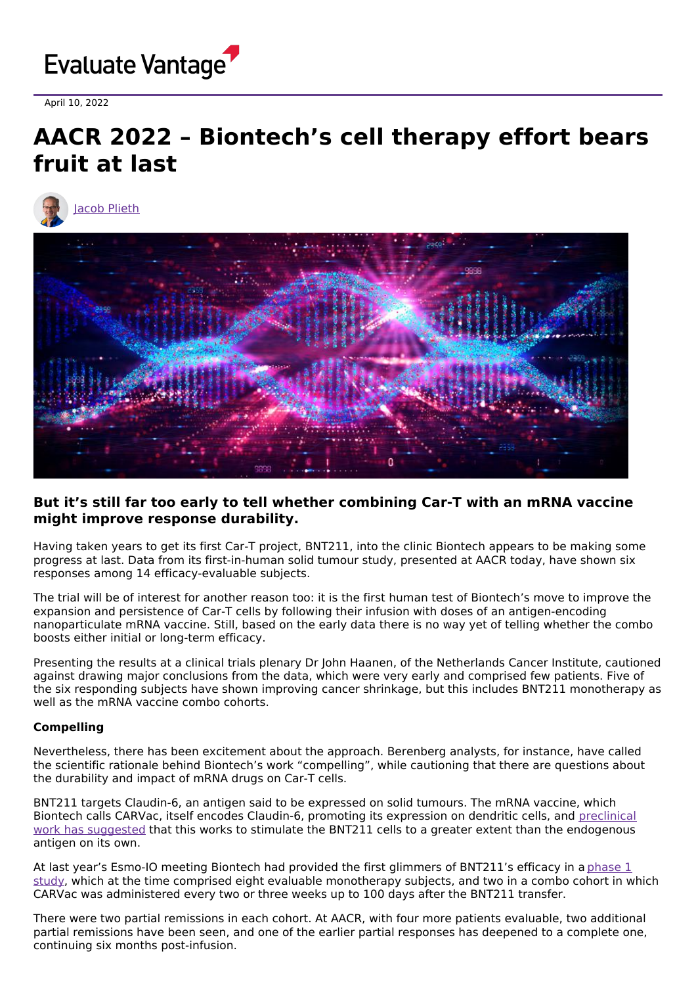

April 10, 2022

# **AACR 2022 – Biontech's cell therapy effort bears fruit at last**





## **But it's still far too early to tell whether combining Car-T with an mRNA vaccine might improve response durability.**

Having taken years to get its first Car-T project, BNT211, into the clinic Biontech appears to be making some progress at last. Data from its first-in-human solid tumour study, presented at AACR today, have shown six responses among 14 efficacy-evaluable subjects.

The trial will be of interest for another reason too: it is the first human test of Biontech's move to improve the expansion and persistence of Car-T cells by following their infusion with doses of an antigen-encoding nanoparticulate mRNA vaccine. Still, based on the early data there is no way yet of telling whether the combo boosts either initial or long-term efficacy.

Presenting the results at a clinical trials plenary Dr John Haanen, of the Netherlands Cancer Institute, cautioned against drawing major conclusions from the data, which were very early and comprised few patients. Five of the six responding subjects have shown improving cancer shrinkage, but this includes BNT211 monotherapy as well as the mRNA vaccine combo cohorts.

#### **Compelling**

Nevertheless, there has been excitement about the approach. Berenberg analysts, for instance, have called the scientific rationale behind Biontech's work "compelling", while cautioning that there are questions about the durability and impact of mRNA drugs on Car-T cells.

BNT211 targets Claudin-6, an antigen said to be expressed on solid tumours. The mRNA vaccine, which Biontech calls CARVac, itself encodes Claudin-6, promoting its expression on dendritic cells, and preclinical work has suggested that this works to stimulate the BNT211 cells to a greater extent than the [endogenous](https://www.science.org/doi/abs/10.1126/science.aay5967) antigen on its own.

At last year's Esmo-IO meeting Biontech had provided the first glimmers of BNT211's efficacy in a phase 1 study, which at the time comprised eight evaluable [monotherapy](https://clinicaltrials.gov/ct2/show/NCT04503278) subjects, and two in a combo cohort in which CARVac was administered every two or three weeks up to 100 days after the BNT211 transfer.

There were two partial remissions in each cohort. At AACR, with four more patients evaluable, two additional partial remissions have been seen, and one of the earlier partial responses has deepened to a complete one, continuing six months post-infusion.